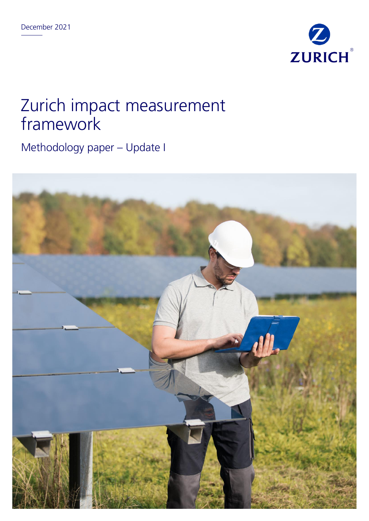

# Zurich impact measurement framework

Methodology paper – Update I

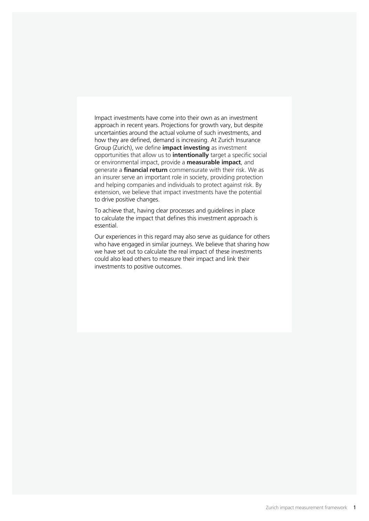Impact investments have come into their own as an investment approach in recent years. Projections for growth vary, but despite uncertainties around the actual volume of such investments, and how they are defined, demand is increasing. At Zurich Insurance Group (Zurich), we define **impact investing** as investment opportunities that allow us to **intentionally** target a specific social or environmental impact, provide a **measurable impact**, and generate a **financial return** commensurate with their risk. We as an insurer serve an important role in society, providing protection and helping companies and individuals to protect against risk. By extension, we believe that impact investments have the potential to drive positive changes.

To achieve that, having clear processes and guidelines in place to calculate the impact that defines this investment approach is essential.

Our experiences in this regard may also serve as guidance for others who have engaged in similar journeys. We believe that sharing how we have set out to calculate the real impact of these investments could also lead others to measure their impact and link their investments to positive outcomes.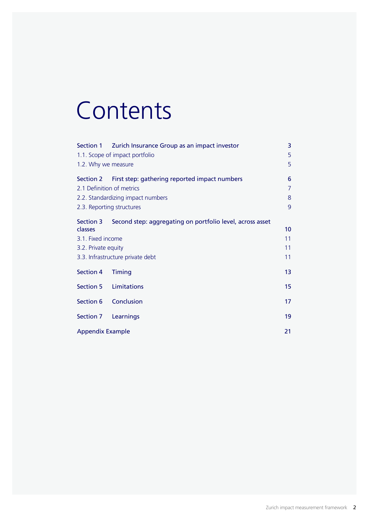# Contents

| Section 1                         | Zurich Insurance Group as an impact investor              | 3  |  |  |  |
|-----------------------------------|-----------------------------------------------------------|----|--|--|--|
| 1.1. Scope of impact portfolio    |                                                           |    |  |  |  |
| 1.2. Why we measure               |                                                           | 5  |  |  |  |
| Section 2                         | First step: gathering reported impact numbers             | 6  |  |  |  |
| 2.1 Definition of metrics         |                                                           |    |  |  |  |
| 2.2. Standardizing impact numbers |                                                           |    |  |  |  |
| 2.3. Reporting structures         |                                                           |    |  |  |  |
| Section 3                         | Second step: aggregating on portfolio level, across asset |    |  |  |  |
| classes                           |                                                           | 10 |  |  |  |
| 3.1. Fixed income                 |                                                           |    |  |  |  |
| 3.2. Private equity               |                                                           |    |  |  |  |
|                                   | 3.3. Infrastructure private debt                          | 11 |  |  |  |
| Section 4                         | Timing                                                    | 13 |  |  |  |
| Section 5                         | Limitations                                               | 15 |  |  |  |
| Section 6                         | Conclusion                                                | 17 |  |  |  |
| Section 7                         | Learnings                                                 | 19 |  |  |  |
| <b>Appendix Example</b>           |                                                           |    |  |  |  |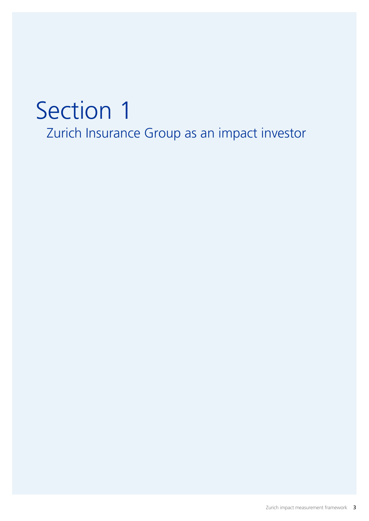# <span id="page-4-0"></span>Section 1 Zurich Insurance Group as an impact investor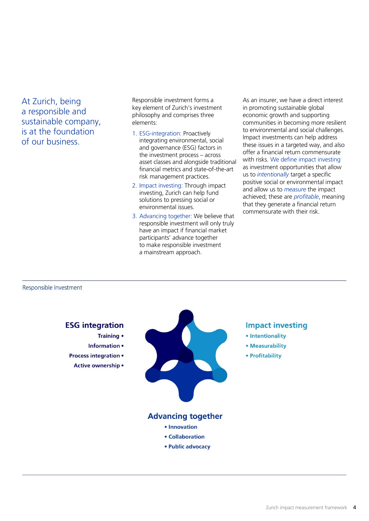At Zurich, being a responsible and sustainable company, is at the foundation of our business.

Responsible investment forms a key element of Zurich's investment philosophy and comprises three elements:

- 1. ESG-integration: Proactively integrating environmental, social and governance (ESG) factors in the investment process – across asset classes and alongside traditional financial metrics and state-of-the-art risk management practices.
- 2. Impact investing: Through impact investing, Zurich can help fund solutions to pressing social or environmental issues.
- 3. Advancing together: We believe that responsible investment will only truly have an impact if financial market participants' advance together to make responsible investment a mainstream approach.

As an insurer, we have a direct interest in promoting sustainable global economic growth and supporting communities in becoming more resilient to environmental and social challenges. Impact investments can help address these issues in a targeted way, and also offer a financial return commensurate with risks. We define impact investing as investment opportunities that allow us to *intentionally* target a specific positive social or environmental impact and allow us to *measure* the impact achieved; these are *profitable*, meaning that they generate a financial return commensurate with their risk.

Responsible Investment

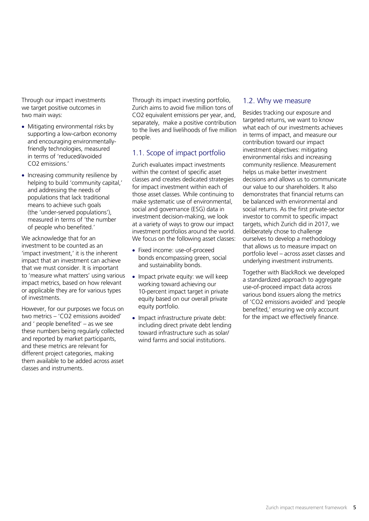Through our impact investments we target positive outcomes in two main ways:

- Mitigating environmental risks by supporting a low-carbon economy and encouraging environmentallyfriendly technologies, measured in terms of 'reduced/avoided CO2 emissions.'
- Increasing community resilience by helping to build 'community capital.' and addressing the needs of populations that lack traditional means to achieve such goals (the 'under-served populations'), measured in terms of 'the number of people who benefited.'

We acknowledge that for an investment to be counted as an 'impact investment,' it is the inherent impact that an investment can achieve that we must consider. It is important to 'measure what matters' using various impact metrics, based on how relevant or applicable they are for various types of investments.

However, for our purposes we focus on two metrics – 'CO2 emissions avoided' and ' people benefited' – as we see these numbers being regularly collected and reported by market participants, and these metrics are relevant for different project categories, making them available to be added across asset classes and instruments.

Through its impact investing portfolio, Zurich aims to avoid five million tons of CO2 equivalent emissions per year, and, separately, make a positive contribution to the lives and livelihoods of five million people.

## <span id="page-6-0"></span>1.1. Scope of impact portfolio

Zurich evaluates impact investments within the context of specific asset classes and creates dedicated strategies for impact investment within each of those asset classes. While continuing to make systematic use of environmental. social and governance (ESG) data in investment decision-making, we look at a variety of ways to grow our impact investment portfolios around the world. We focus on the following asset classes:

- Fixed income: use-of-proceed bonds encompassing green, social and sustainability bonds.
- Impact private equity: we will keep working toward achieving our 10-percent impact target in private equity based on our overall private equity portfolio.
- Impact infrastructure private debt: including direct private debt lending toward infrastructure such as solar/ wind farms and social institutions.

## <span id="page-6-1"></span>1.2. Why we measure

Besides tracking our exposure and targeted returns, we want to know what each of our investments achieves in terms of impact, and measure our contribution toward our impact investment objectives: mitigating environmental risks and increasing community resilience. Measurement helps us make better investment decisions and allows us to communicate our value to our shareholders. It also demonstrates that financial returns can be balanced with environmental and social returns. As the first private-sector investor to commit to specific impact targets, which Zurich did in 2017, we deliberately chose to challenge ourselves to develop a methodology that allows us to measure impact on portfolio level – across asset classes and underlying investment instruments.

Together with BlackRock we developed a standardized approach to aggregate use-of-proceed impact data across various bond issuers along the metrics of 'CO2 emissions avoided' and 'people benefited,' ensuring we only account for the impact we effectively finance.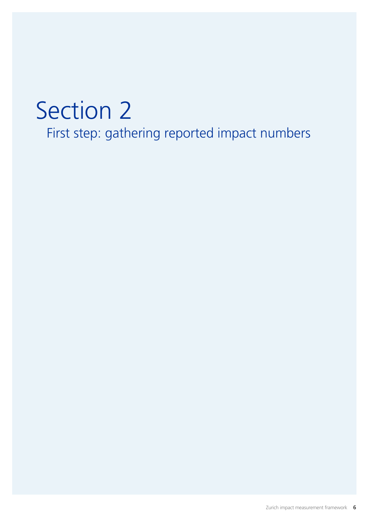# Section 2

<span id="page-7-0"></span>First step: gathering reported impact numbers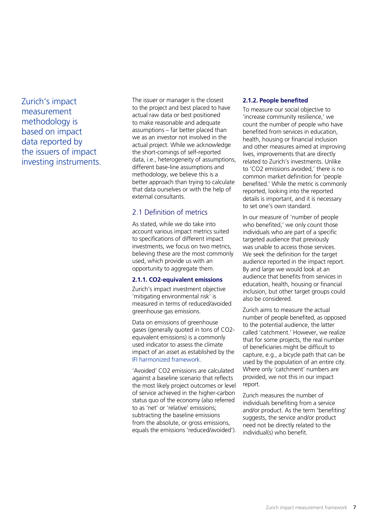Zurich's impact measurement methodology is based on impact data reported by the issuers of impact investing instruments.

The issuer or manager is the closest to the project and best placed to have actual raw data or best positioned to make reasonable and adequate assumptions – far better placed than we as an investor not involved in the actual project. While we acknowledge the short-comings of self-reported data, i.e., heterogeneity of assumptions, different base-line assumptions and methodology, we believe this is a better approach than trying to calculate that data ourselves or with the help of external consultants.

### <span id="page-8-0"></span>2.1 Definition of metrics

As stated, while we do take into account various impact metrics suited to specifications of different impact investments, we focus on two metrics, believing these are the most commonly used, which provide us with an opportunity to aggregate them.

### **2.1.1. CO2-equivalent emissions**

Zurich's impact investment objective 'mitigating environmental risk' is measured in terms of reduced/avoided greenhouse gas emissions.

Data on emissions of greenhouse gases (generally quoted in tons of CO2 equivalent emissions) is a commonly used indicator to assess the climate impact of an asset as established by the [IFI harmonized framework.](http://www.icmadata.org/sustainable-finance/impact-reporting/)

'Avoided' CO2 emissions are calculated against a baseline scenario that reflects the most likely project outcomes or level of service achieved in the higher-carbon status quo of the economy (also referred to as 'net' or 'relative' emissions; subtracting the baseline emissions from the absolute, or gross emissions, equals the emissions 'reduced/avoided').

#### **2.1.2. People benefited**

To measure our social objective to 'increase community resilience,' we count the number of people who have benefited from services in education, health, housing or financial inclusion and other measures aimed at improving lives, improvements that are directly related to Zurich's investments. Unlike to 'CO2 emissions avoided,' there is no common market definition for 'people benefited.' While the metric is commonly reported, looking into the reported details is important, and it is necessary to set one's own standard.

In our measure of 'number of people who benefited,' we only count those individuals who are part of a specific targeted audience that previously was unable to access those services. We seek the definition for the target audience reported in the impact report. By and large we would look at an audience that benefits from services in education, health, housing or financial inclusion, but other target groups could also be considered.

Zurich aims to measure the actual number of people benefited, as opposed to the potential audience, the latter called 'catchment.' However, we realize that for some projects, the real number of beneficiaries might be difficult to capture, e.g., a bicycle path that can be used by the population of an entire city. Where only 'catchment' numbers are provided, we not this in our impact report.

Zurich measures the number of individuals benefiting from a service and/or product. As the term 'benefiting' suggests, the service and/or product need not be directly related to the individual(s) who benefit.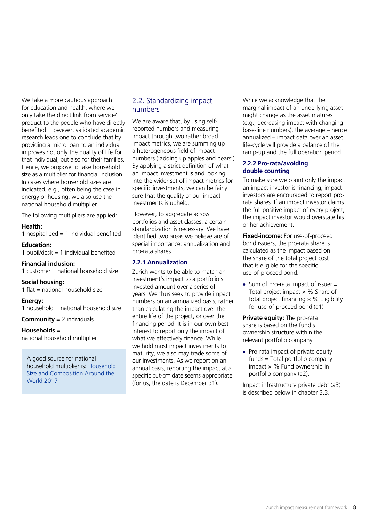We take a more cautious approach for education and health, where we only take the direct link from service/ product to the people who have directly benefited. However, validated academic research leads one to conclude that by providing a micro loan to an individual improves not only the quality of life for that individual, but also for their families. Hence, we propose to take household size as a multiplier for financial inclusion. In cases where household sizes are indicated, e.g., often being the case in energy or housing, we also use the national household multiplier.

The following multipliers are applied:

### **Health:**

1 hospital bed  $= 1$  individual benefited

### **Education:**

1 pupil/desk = 1 individual benefited

### **Financial inclusion:**

1 customer = national household size

### **Social housing:**

1 flat  $=$  national household size

### **Energy:**

1 household  $=$  national household size

**Community** = 2 individuals

### **Households** =

national household multiplier

A good source for national household multiplier is: [Household](https://www.un.org/en/development/desa/population/publications/pdf/ageing/household_size_and_composition_around_the_world_2017_data_booklet.pdf)  [Size and Composition Around the](https://www.un.org/en/development/desa/population/publications/pdf/ageing/household_size_and_composition_around_the_world_2017_data_booklet.pdf)  [World 2017](https://www.un.org/en/development/desa/population/publications/pdf/ageing/household_size_and_composition_around_the_world_2017_data_booklet.pdf)

## <span id="page-9-0"></span>2.2. Standardizing impact numbers

We are aware that, by using selfreported numbers and measuring impact through two rather broad impact metrics, we are summing up a heterogeneous field of impact numbers ('adding up apples and pears'). By applying a strict definition of what an impact investment is and looking into the wider set of impact metrics for specific investments, we can be fairly sure that the quality of our impact investments is upheld.

However, to aggregate across portfolios and asset classes, a certain standardization is necessary. We have identified two areas we believe are of special importance: annualization and pro-rata shares.

### **2.2.1 Annualization**

Zurich wants to be able to match an investment's impact to a portfolio's invested amount over a series of years. We thus seek to provide impact numbers on an annualized basis, rather than calculating the impact over the entire life of the project, or over the financing period. It is in our own best interest to report only the impact of what we effectively finance. While we hold most impact investments to maturity, we also may trade some of our investments. As we report on an annual basis, reporting the impact at a specific cut-off date seems appropriate (for us, the date is December 31).

While we acknowledge that the marginal impact of an underlying asset might change as the asset matures (e.g., decreasing impact with changing base-line numbers), the average – hence annualized – impact data over an asset life-cycle will provide a balance of the ramp-up and the full operation period.

### **2.2.2 Pro-rata/avoiding double counting**

To make sure we count only the impact an impact investor is financing, impact investors are encouraged to report prorata shares. If an impact investor claims the full positive impact of every project, the impact investor would overstate his or her achievement.

**Fixed-income:** For use-of-proceed bond issuers, the pro-rata share is calculated as the impact based on the share of the total project cost that is eligible for the specific use-of-proceed bond.

• Sum of pro-rata impact of issuer = Total project impact  $\times$  % Share of total project financing  $\times$  % Eligibility for use-of-proceed bond (a1)

**Private equity:** The pro-rata share is based on the fund's ownership structure within the relevant portfolio company

• Pro-rata impact of private equity funds = Total portfolio company impact  $\times$  % Fund ownership in portfolio company (a2).

Impact infrastructure private debt (a3) is described below in chapter 3.3.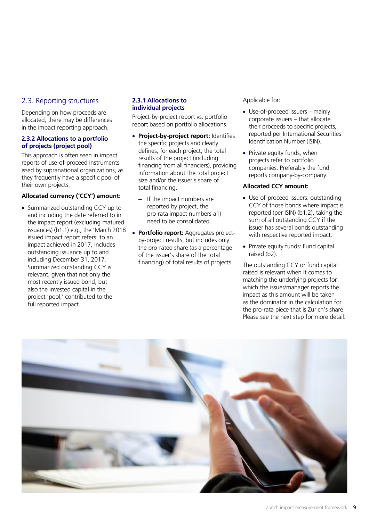## <span id="page-10-0"></span>2.3. Reporting structures

Depending on how proceeds are allocated, there may be differences in the impact reporting approach.

### **2.3.2 Allocations to a portfolio of projects (project pool)**

This approach is often seen in impact reports of use-of-proceed instruments issed by supranational organizations, as they frequently have a specific pool of their own projects.

### **Allocated currency ('CCY') amount:**

• Summarized outstanding CCY up to and including the date referred to in the impact report (excluding matured issuances) (b1.1) e.g., the 'March 2018 issued impact report refers' to an impact achieved in 2017, includes outstanding issuance up to and including December 31, 2017. Summarized outstanding CCY is relevant, given that not only the most recently issued bond, but also the invested capital in the project 'pool,' contributed to the full reported impact.

### **2.3.1 Allocations to individual projects**

Project-by-project report vs. portfolio report based on portfolio allocations.

- **Project-by-project report:** Identifies the specific projects and clearly defines, for each project, the total results of the project (including financing from all financiers), providing information about the total project size and/or the issuer's share of total financing.
	- If the impact numbers are reported by project, the pro-rata impact numbers a1) need to be consolidated.
- **Portfolio report:** Aggregates projectby-project results, but includes only the pro-rated share (as a percentage of the issuer's share of the total financing) of total results of projects.

Applicable for:

- Use-of-proceed issuers mainly corporate issuers – that allocate their proceeds to specific projects, reported per International Securities Identification Number (ISIN).
- Private equity funds, when projects refer to portfolio companies. Preferably the fund reports company-by-company.

### **Allocated CCY amount:**

- Use-of-proceed issuers: outstanding CCY of those bonds where impact is reported (per ISIN) (b1.2), taking the sum of all outstanding CCY if the issuer has several bonds outstanding with respective reported impact.
- Private equity funds: Fund capital raised (b2).

The outstanding CCY or fund capital raised is relevant when it comes to matching the underlying projects for which the issuer/manager reports the impact as this amount will be taken as the dominator in the calculation for the pro-rata piece that is Zurich's share. Please see the next step for more detail.

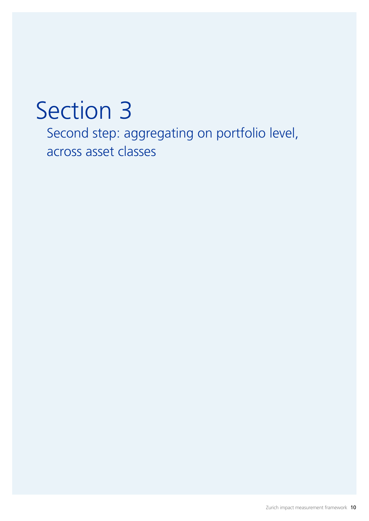# Section 3

<span id="page-11-0"></span>Second step: aggregating on portfolio level, across asset classes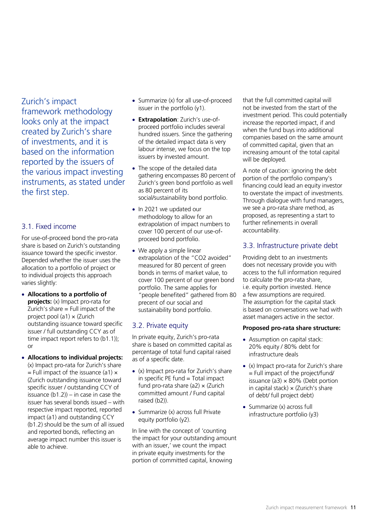Zurich's impact framework methodology looks only at the impact created by Zurich's share of investments, and it is based on the information reported by the issuers of the various impact investing instruments, as stated under the first step.

## <span id="page-12-0"></span>3.1. Fixed income

For use-of-proceed bond the pro-rata share is based on Zurich's outstanding issuance toward the specific investor. Depended whether the issuer uses the allocation to a portfolio of project or to individual projects this approach varies slightly:

- **Allocations to a portfolio of projects:** (x) Impact pro-rata for Zurich's share  $=$  Full impact of the project pool (a1) × (Zurich outstanding issuance toward specific issuer / full outstanding CCY as of time impact report refers to (b1.1)); or
- **Allocations to individual projects:** (x) Impact pro-rata for Zurich's share  $=$  Full impact of the issuance (a1)  $\times$ (Zurich outstanding issuance toward specific issuer / outstanding CCY of issuance  $(b1.2)$ ) – in case in case the issuer has several bonds issued – with respective impact reported, reported impact (a1) and outstanding CCY (b1.2) should be the sum of all issued and reported bonds, reflecting an average impact number this issuer is able to achieve.
- Summarize (x) for all use-of-proceed issuer in the portfolio (y1).
- **Extrapolation**: Zurich's use-ofproceed portfolio includes several hundred issuers. Since the gathering of the detailed impact data is very labour intense, we focus on the top issuers by invested amount.
- The scope of the detailed data gathering encompasses 80 percent of Zurich's green bond portfolio as well as 80 percent of its social/sustainability bond portfolio.
- In 2021 we updated our methodology to allow for an extrapolation of impact numbers to cover 100 percent of our use-ofproceed bond portfolio.
- We apply a simple linear extrapolation of the "CO2 avoided" measured for 80 percent of green bonds in terms of market value, to cover 100 percent of our green bond portfolio. The same applies for "people benefited" gathered from 80 precent of our social and sustainability bond portfolio.

## <span id="page-12-1"></span>3.2. Private equity

In private equity, Zurich's pro-rata share is based on committed capital as percentage of total fund capital raised as of a specific date.

- (x) Impact pro-rata for Zurich's share in specific PE fund = Total impact fund pro-rata share (a2)  $\times$  (Zurich committed amount / Fund capital raised (b2)).
- Summarize (x) across full Private equity portfolio (y2).

In line with the concept of 'counting the impact for your outstanding amount with an issuer,' we count the impact in private equity investments for the portion of committed capital, knowing

that the full committed capital will not be invested from the start of the investment period. This could potentially increase the reported impact, if and when the fund buys into additional companies based on the same amount of committed capital, given that an increasing amount of the total capital will be deployed.

A note of caution: ignoring the debt portion of the portfolio company's financing could lead an equity investor to overstate the impact of investments. Through dialogue with fund managers, we see a pro-rata share method, as proposed, as representing a start to further refinements in overall accountability.

## <span id="page-12-2"></span>3.3. Infrastructure private debt

Providing debt to an investments does not necessary provide you with access to the full information required to calculate the pro-rata share, i.e. equity portion invested. Hence a few assumptions are required. The assumption for the capital stack is based on conversations we had with asset managers active in the sector.

### **Proposed pro-rata share structure:**

- Assumption on capital stack: 20% equity / 80% debt for infrastructure deals
- (x) Impact pro-rata for Zurich's share = Full impact of the project/fund/ issuance (a3)  $\times$  80% (Debt portion in capital stack)  $\times$  (Zurich's share of debt/ full project debt)
- Summarize (x) across full infrastructure portfolio (y3)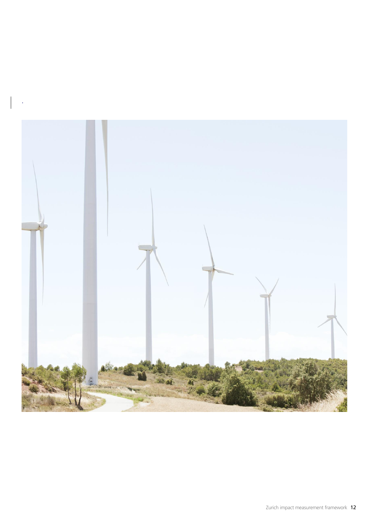

.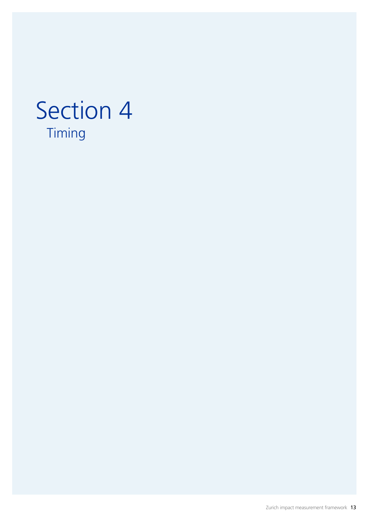# <span id="page-14-0"></span>Section 4 Timing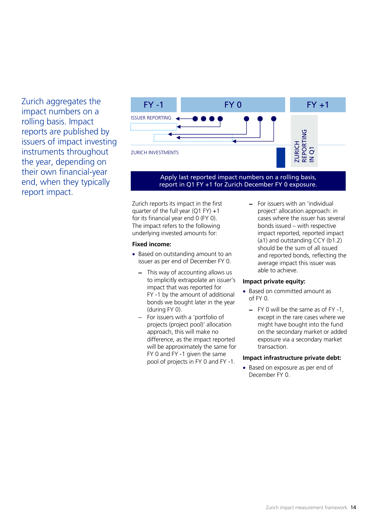Zurich aggregates the impact numbers on a rolling basis. Impact reports are published by issuers of impact investing instruments throughout the year, depending on their own financial-year end, when they typically report impact.



Apply last reported impact numbers on a rolling basis,

Zurich reports its impact in the first quarter of the full year  $(Q1 FY) + 1$ for its financial year end 0 (FY 0). The impact refers to the following underlying invested amounts for:

#### **Fixed income:**

- Based on outstanding amount to an issuer as per end of December FY 0.
	- $-$  This way of accounting allows us to implicitly extrapolate an issuer's impact that was reported for FY -1 by the amount of additional bonds we bought later in the year (during FY 0).
	- For issuers with a 'portfolio of projects (project pool)' allocation approach, this will make no difference, as the impact reported will be approximately the same for FY 0 and FY -1 given the same pool of projects in FY 0 and FY -1.
- For issuers with an 'individual project' allocation approach: in cases where the issuer has several bonds issued – with respective impact reported, reported impact (a1) and outstanding CCY (b1.2) should be the sum of all issued and reported bonds, reflecting the average impact this issuer was able to achieve.

#### **Impact private equity:**

- Based on committed amount as of FY 0.
	- $-$  FY 0 will be the same as of FY -1, except in the rare cases where we might have bought into the fund on the secondary market or added exposure via a secondary market transaction.

### **Impact infrastructure private debt:**

• Based on exposure as per end of December FY 0.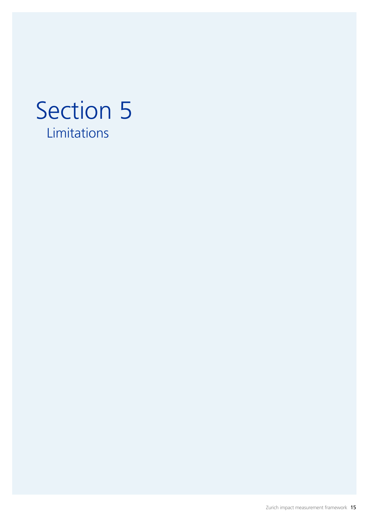# <span id="page-16-0"></span>Section 5 Limitations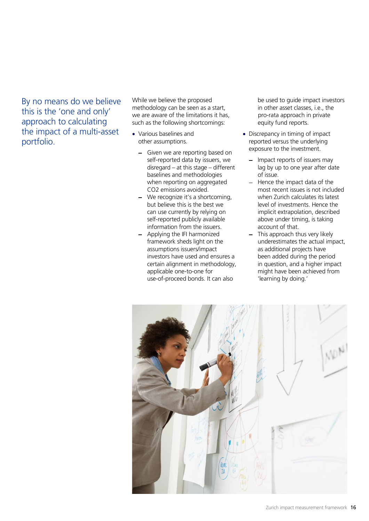By no means do we believe this is the 'one and only' approach to calculating the impact of a multi-asset portfolio.

While we believe the proposed methodology can be seen as a start, we are aware of the limitations it has, such as the following shortcomings:

- Various baselines and other assumptions.
	- Given we are reporting based on self-reported data by issuers, we disregard – at this stage – different baselines and methodologies when reporting on aggregated CO2 emissions avoided.
	- We recognize it's a shortcoming, but believe this is the best we can use currently by relying on self-reported publicly available information from the issuers.
	- Applying the IFI harmonized framework sheds light on the assumptions issuers/impact investors have used and ensures a certain alignment in methodology, applicable one-to-one for use-of-proceed bonds. It can also

be used to guide impact investors in other asset classes, i.e., the pro-rata approach in private equity fund reports.

- Discrepancy in timing of impact reported versus the underlying exposure to the investment.
	- Impact reports of issuers may lag by up to one year after date of issue.
	- $-$  Hence the impact data of the most recent issues is not included when Zurich calculates its latest level of investments. Hence the implicit extrapolation, described above under timing, is taking account of that.
	- This approach thus very likely underestimates the actual impact, as additional projects have been added during the period in question, and a higher impact might have been achieved from 'learning by doing.'

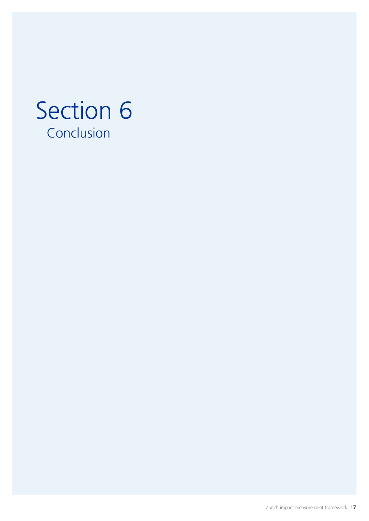# <span id="page-18-0"></span>Section 6 Conclusion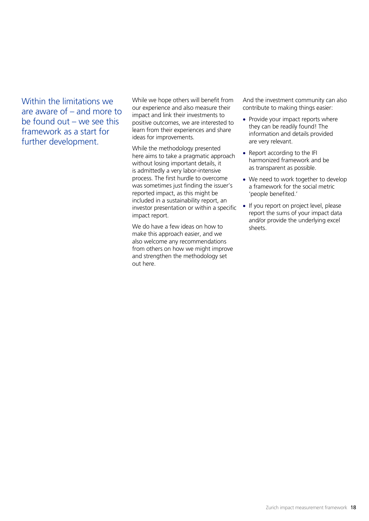Within the limitations we are aware of – and more to be found out – we see this framework as a start for further development.

While we hope others will benefit from our experience and also measure their impact and link their investments to positive outcomes, we are interested to learn from their experiences and share ideas for improvements.

While the methodology presented here aims to take a pragmatic approach without losing important details, it is admittedly a very labor-intensive process. The first hurdle to overcome was sometimes just finding the issuer's reported impact, as this might be included in a sustainability report, an investor presentation or within a specific impact report.

We do have a few ideas on how to make this approach easier, and we also welcome any recommendations from others on how we might improve and strengthen the methodology set out here.

And the investment community can also contribute to making things easier:

- Provide your impact reports where they can be readily found! The information and details provided are very relevant.
- Report according to the IFI harmonized framework and be as transparent as possible.
- We need to work together to develop a framework for the social metric 'people benefited.'
- If you report on project level, please report the sums of your impact data and/or provide the underlying excel sheets.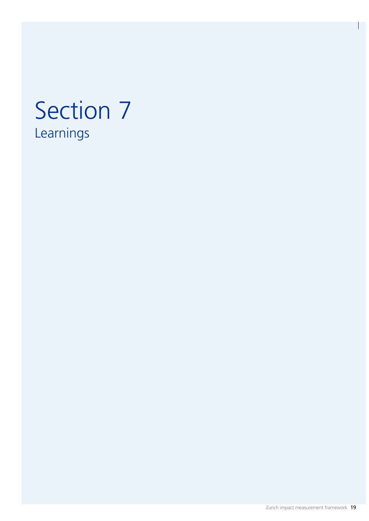# <span id="page-20-0"></span>Section 7 Learnings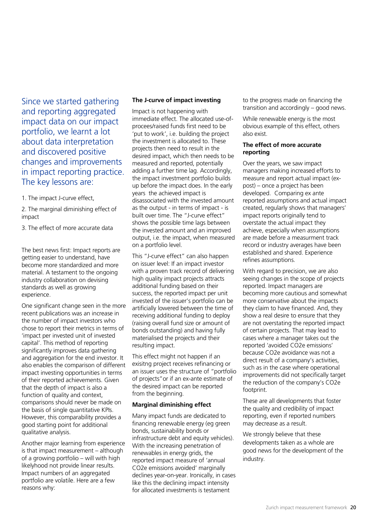Since we started gathering and reporting aggregated impact data on our impact portfolio, we learnt a lot about data interpretation and discovered positive changes and improvements in impact reporting practice. The key lessons are:

1. The impact J-curve effect,

2. The marginal diminishing effect of impact

3. The effect of more accurate data

The best news first: Impact reports are getting easier to understand, have become more standardized and more material. A testament to the ongoing industry collaboration on devising standards as well as growing experience.

One significant change seen in the more recent publications was an increase in the number of impact investors who chose to report their metrics in terms of 'impact per invested unit of invested capital'. This method of reporting significantly improves data gathering and aggregation for the end investor. It also enables the comparison of different impact investing opportunities in terms of their reported achievements. Given that the depth of impact is also a function of quality and context, comparisons should never be made on the basis of single quantitative KPIs. However, this comparability provides a good starting point for additional qualitative analysis.

Another major learning from experience is that impact measurement – although of a growing portfolio – will with high likelyhood not provide linear results. Impact numbers of an aggregated portfolio are volatile. Here are a few reasons why:

### **The J-curve of impact investing**

Impact is not happening with immediate effect. The allocated use-ofprocees/raised funds first need to be 'put to work', i.e. building the project the investment is allocated to. These projects then need to result in the desired impact, which then needs to be measured and reported, potentially adding a further time lag. Accordingly, the impact investment portfolio builds up before the impact does. In the early years the achieved impact is disassociated with the invested amount as the output - in terms of impact - is built over time. The "J-curve effect" shows the possible time lags between the invested amount and an improved output, i.e. the impact, when measured on a portfolio level.

This "J-curve effect" can also happen on issuer level: If an impact investor with a proven track record of delivering high quality impact projects attracts additional funding based on their success, the reported impact per unit invested of the issuer's portfolio can be artificially lowered between the time of receiving additional funding to deploy (raising overall fund size or amount of bonds outstanding) and having fully materialised the projects and their resulting impact.

This effect might not happen if an exisitng project receives refinancing or an issuer uses the structure of "portfolio of projects"or if an ex-ante estimate of the desired impact can be reported from the beginning.

### **Marginal diminishing effect**

Many impact funds are dedicated to financing renewable energy (eg green bonds, sustainability bonds or infrastructure debt and equity vehicles). With the increasing penetration of renewables in energy grids, the reported impact measure of 'annual CO2e emissions avoided' marginally declines year-on-year. Ironically, in cases like this the declining impact intensity for allocated investments is testament

to the progress made on financing the transition and accordingly – good news.

While renewable energy is the most obvious example of this effect, others also exist.

### **The effect of more accurate reporting**

Over the years, we saw impact managers making increased efforts to measure and report actual impact (expost) – once a project has been developed. Comparing ex ante reported assumptions and actual impact created, regularly shows that managers' impact reports originally tend to overstate the actual impact they achieve, especially when assumptions are made before a measurment track record or industry averages have been established and shared. Experience refines assumptions.

With regard to precision, we are also seeing changes in the scope of projects reported. Impact managers are becoming more cautious and somewhat more conservative about the impacts they claim to have financed. And, they show a real desire to ensure that they are not overstating the reported impact of certain projects. That may lead to cases where a manager takes out the reported 'avoided CO2e emissions' because CO2e avoidance was not a direct result of a company's activities, such as in the case where operational improvements did not specifically target the reduction of the company's CO2e footprint.

These are all developments that foster the quality and credibility of impact reporting, even if reported numbers may decrease as a result.

We strongly believe that these developments taken as a whole are good news for the development of the industry.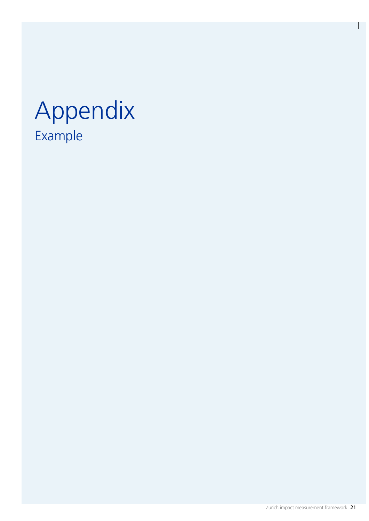# <span id="page-22-0"></span>Appendix Example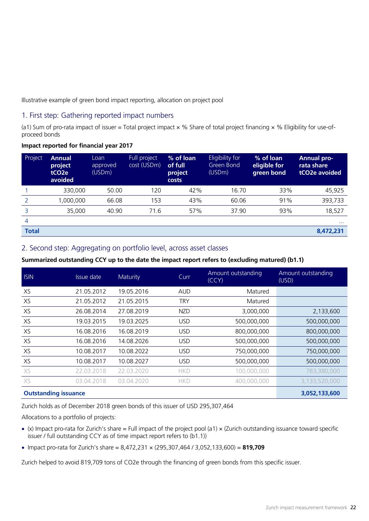Illustrative example of green bond impact reporting, allocation on project pool

# 1. First step: Gathering reported impact numbers

(a1) Sum of pro-rata impact of issuer = Total project impact  $\times$  % Share of total project financing  $\times$  % Eligibility for use-ofproceed bonds

|  | Impact reported for financial year 2017 |  |  |  |
|--|-----------------------------------------|--|--|--|
|--|-----------------------------------------|--|--|--|

| Project      | Annual<br>project<br>tCO <sub>2</sub> e<br>avoided | Loan<br>approved<br>(USDm) | Full project<br>cost (USDm) | % of loan<br>of full<br>project<br>costs | Eligibility for<br>Green Bond<br>(USDm) | % of loan<br>eligible for<br>green bond | <b>Annual pro-</b><br>rata share<br>tCO <sub>2</sub> e avoided |
|--------------|----------------------------------------------------|----------------------------|-----------------------------|------------------------------------------|-----------------------------------------|-----------------------------------------|----------------------------------------------------------------|
|              | 330,000                                            | 50.00                      | 120                         | 42%                                      | 16.70                                   | 33%                                     | 45,925                                                         |
|              | 1.000.000                                          | 66.08                      | 153                         | 43%                                      | 60.06                                   | 91%                                     | 393,733                                                        |
| 3            | 35,000                                             | 40.90                      | 71.6                        | 57%                                      | 37.90                                   | 93%                                     | 18,527                                                         |
| 4            |                                                    |                            |                             |                                          |                                         |                                         | $\cdots$                                                       |
| <b>Total</b> |                                                    |                            |                             |                                          |                                         |                                         | 8,472,231                                                      |

## 2. Second step: Aggregating on portfolio level, across asset classes

### **Summarized outstanding CCY up to the date the impact report refers to (excluding matured) (b1.1)**

| <b>ISIN</b>                 | Issue date    | Maturity   | Curr       | Amount outstanding<br>(CCY) | Amount outstanding<br>(USD) |
|-----------------------------|---------------|------------|------------|-----------------------------|-----------------------------|
| XS                          | 21.05.2012    | 19.05.2016 | <b>AUD</b> | Matured                     |                             |
| XS                          | 21.05.2012    | 21.05.2015 | TRY        | Matured                     |                             |
| XS                          | 26.08.2014    | 27.08.2019 | <b>NZD</b> | 3,000,000                   | 2,133,600                   |
| XS                          | 19.03.2015    | 19.03.2025 | <b>USD</b> | 500,000,000                 | 500,000,000                 |
| XS                          | 16.08.2016    | 16.08.2019 | <b>USD</b> | 800,000,000                 | 800,000,000                 |
| XS                          | 16.08.2016    | 14.08.2026 | <b>USD</b> | 500,000,000                 | 500,000,000                 |
| XS                          | 10.08.2017    | 10.08.2022 | <b>USD</b> | 750,000,000                 | 750,000,000                 |
| XS                          | 10.08.2017    | 10.08.2027 | <b>USD</b> | 500,000,000                 | 500,000,000                 |
| XS                          | 22.03.2018    | 22.03.2020 | <b>HKD</b> | 100,000,000                 | 783,380,000                 |
| XS                          | 03.04.2018    | 03.04.2020 | <b>HKD</b> | 400,000,000                 | 3,133,520,000               |
| <b>Outstanding issuance</b> | 3,052,133,600 |            |            |                             |                             |

Zurich holds as of December 2018 green bonds of this issuer of USD 295,307,464

Allocations to a portfolio of projects:

- (x) Impact pro-rata for Zurich's share  $=$  Full impact of the project pool (a1)  $\times$  (Zurich outstanding issuance toward specific issuer / full outstanding CCY as of time impact report refers to (b1.1))
- Impact pro-rata for Zurich's share = 8,472,231 × (295,307,464 / 3,052,133,600) = **819,709**

Zurich helped to avoid 819,709 tons of CO2e through the financing of green bonds from this specific issuer.